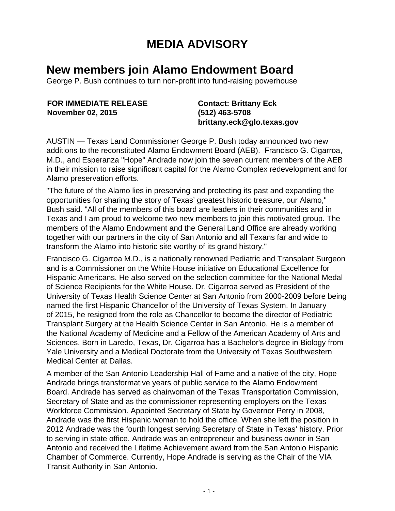## **MEDIA ADVISORY**

## **New members join Alamo Endowment Board**

George P. Bush continues to turn non-profit into fund-raising powerhouse

**FOR IMMEDIATE RELEASE November 02, 2015**

**Contact: Brittany Eck (512) 463-5708 brittany.eck@glo.texas.gov**

AUSTIN — Texas Land Commissioner George P. Bush today announced two new additions to the reconstituted Alamo Endowment Board (AEB). Francisco G. Cigarroa, M.D., and Esperanza "Hope" Andrade now join the seven current members of the AEB in their mission to raise significant capital for the Alamo Complex redevelopment and for Alamo preservation efforts.

"The future of the Alamo lies in preserving and protecting its past and expanding the opportunities for sharing the story of Texas' greatest historic treasure, our Alamo," Bush said. "All of the members of this board are leaders in their communities and in Texas and I am proud to welcome two new members to join this motivated group. The members of the Alamo Endowment and the General Land Office are already working together with our partners in the city of San Antonio and all Texans far and wide to transform the Alamo into historic site worthy of its grand history."

Francisco G. Cigarroa M.D., is a nationally renowned Pediatric and Transplant Surgeon and is a Commissioner on the White House initiative on Educational Excellence for Hispanic Americans. He also served on the selection committee for the National Medal of Science Recipients for the White House. Dr. Cigarroa served as President of the University of Texas Health Science Center at San Antonio from 2000-2009 before being named the first Hispanic Chancellor of the University of Texas System. In January of 2015, he resigned from the role as Chancellor to become the director of Pediatric Transplant Surgery at the Health Science Center in San Antonio. He is a member of the National Academy of Medicine and a Fellow of the American Academy of Arts and Sciences. Born in Laredo, Texas, Dr. Cigarroa has a Bachelor's degree in Biology from Yale University and a Medical Doctorate from the University of Texas Southwestern Medical Center at Dallas.

A member of the San Antonio Leadership Hall of Fame and a native of the city, Hope Andrade brings transformative years of public service to the Alamo Endowment Board. Andrade has served as chairwoman of the Texas Transportation Commission, Secretary of State and as the commissioner representing employers on the Texas Workforce Commission. Appointed Secretary of State by Governor Perry in 2008, Andrade was the first Hispanic woman to hold the office. When she left the position in 2012 Andrade was the fourth longest serving Secretary of State in Texas' history. Prior to serving in state office, Andrade was an entrepreneur and business owner in San Antonio and received the Lifetime Achievement award from the San Antonio Hispanic Chamber of Commerce. Currently, Hope Andrade is serving as the Chair of the VIA Transit Authority in San Antonio.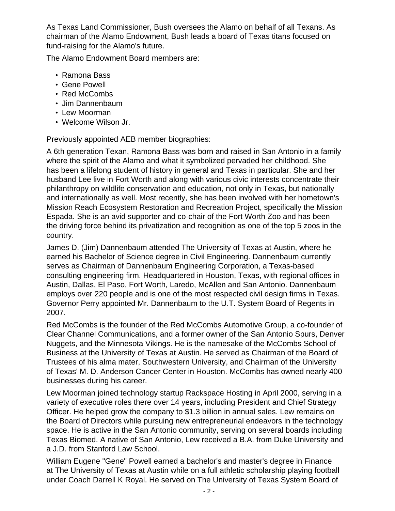As Texas Land Commissioner, Bush oversees the Alamo on behalf of all Texans. As chairman of the Alamo Endowment, Bush leads a board of Texas titans focused on fund-raising for the Alamo's future.

The Alamo Endowment Board members are:

- Ramona Bass
- Gene Powell
- Red McCombs
- Jim Dannenbaum
- Lew Moorman
- Welcome Wilson Jr.

Previously appointed AEB member biographies:

A 6th generation Texan, Ramona Bass was born and raised in San Antonio in a family where the spirit of the Alamo and what it symbolized pervaded her childhood. She has been a lifelong student of history in general and Texas in particular. She and her husband Lee live in Fort Worth and along with various civic interests concentrate their philanthropy on wildlife conservation and education, not only in Texas, but nationally and internationally as well. Most recently, she has been involved with her hometown's Mission Reach Ecosystem Restoration and Recreation Project, specifically the Mission Espada. She is an avid supporter and co-chair of the Fort Worth Zoo and has been the driving force behind its privatization and recognition as one of the top 5 zoos in the country.

James D. (Jim) Dannenbaum attended The University of Texas at Austin, where he earned his Bachelor of Science degree in Civil Engineering. Dannenbaum currently serves as Chairman of Dannenbaum Engineering Corporation, a Texas-based consulting engineering firm. Headquartered in Houston, Texas, with regional offices in Austin, Dallas, El Paso, Fort Worth, Laredo, McAllen and San Antonio. Dannenbaum employs over 220 people and is one of the most respected civil design firms in Texas. Governor Perry appointed Mr. Dannenbaum to the U.T. System Board of Regents in 2007.

Red McCombs is the founder of the Red McCombs Automotive Group, a co-founder of Clear Channel Communications, and a former owner of the San Antonio Spurs, Denver Nuggets, and the Minnesota Vikings. He is the namesake of the McCombs School of Business at the University of Texas at Austin. He served as Chairman of the Board of Trustees of his alma mater, Southwestern University, and Chairman of the University of Texas' M. D. Anderson Cancer Center in Houston. McCombs has owned nearly 400 businesses during his career.

Lew Moorman joined technology startup Rackspace Hosting in April 2000, serving in a variety of executive roles there over 14 years, including President and Chief Strategy Officer. He helped grow the company to \$1.3 billion in annual sales. Lew remains on the Board of Directors while pursuing new entrepreneurial endeavors in the technology space. He is active in the San Antonio community, serving on several boards including Texas Biomed. A native of San Antonio, Lew received a B.A. from Duke University and a J.D. from Stanford Law School.

William Eugene "Gene" Powell earned a bachelor's and master's degree in Finance at The University of Texas at Austin while on a full athletic scholarship playing football under Coach Darrell K Royal. He served on The University of Texas System Board of